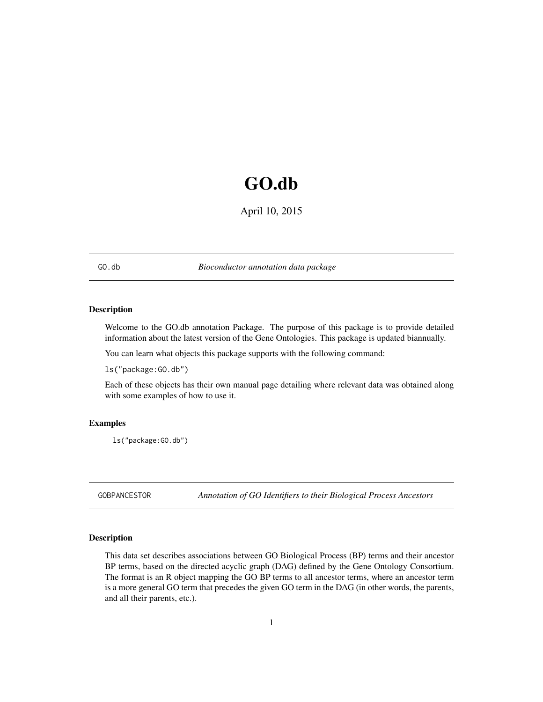# <span id="page-0-1"></span>GO.db

April 10, 2015

<span id="page-0-0"></span>GO.db *Bioconductor annotation data package*

# Description

Welcome to the GO.db annotation Package. The purpose of this package is to provide detailed information about the latest version of the Gene Ontologies. This package is updated biannually.

You can learn what objects this package supports with the following command:

ls("package:GO.db")

Each of these objects has their own manual page detailing where relevant data was obtained along with some examples of how to use it.

# Examples

ls("package:GO.db")

GOBPANCESTOR *Annotation of GO Identifiers to their Biological Process Ancestors*

#### Description

This data set describes associations between GO Biological Process (BP) terms and their ancestor BP terms, based on the directed acyclic graph (DAG) defined by the Gene Ontology Consortium. The format is an R object mapping the GO BP terms to all ancestor terms, where an ancestor term is a more general GO term that precedes the given GO term in the DAG (in other words, the parents, and all their parents, etc.).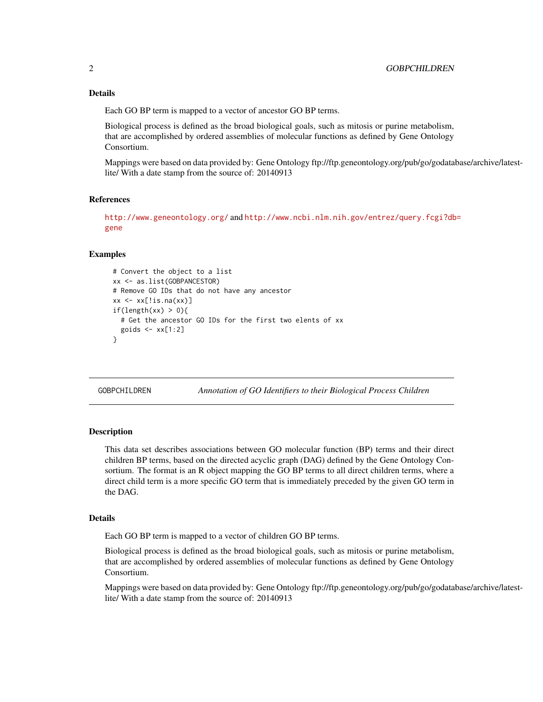## <span id="page-1-0"></span>Details

Each GO BP term is mapped to a vector of ancestor GO BP terms.

Biological process is defined as the broad biological goals, such as mitosis or purine metabolism, that are accomplished by ordered assemblies of molecular functions as defined by Gene Ontology Consortium.

Mappings were based on data provided by: Gene Ontology ftp://ftp.geneontology.org/pub/go/godatabase/archive/latestlite/ With a date stamp from the source of: 20140913

# References

<http://www.geneontology.org/> and [http://www.ncbi.nlm.nih.gov/entrez/query.fcgi?db](http://www.ncbi.nlm.nih.gov/entrez/query.fcgi?db=gene)= [gene](http://www.ncbi.nlm.nih.gov/entrez/query.fcgi?db=gene)

#### Examples

```
# Convert the object to a list
xx <- as.list(GOBPANCESTOR)
# Remove GO IDs that do not have any ancestor
xx \leftarrow xx[!is.na(xx)]if(length(xx) > 0){
  # Get the ancestor GO IDs for the first two elents of xx
  goids \leq -x \times [1:2]}
```
GOBPCHILDREN *Annotation of GO Identifiers to their Biological Process Children*

# Description

This data set describes associations between GO molecular function (BP) terms and their direct children BP terms, based on the directed acyclic graph (DAG) defined by the Gene Ontology Consortium. The format is an R object mapping the GO BP terms to all direct children terms, where a direct child term is a more specific GO term that is immediately preceded by the given GO term in the DAG.

#### Details

Each GO BP term is mapped to a vector of children GO BP terms.

Biological process is defined as the broad biological goals, such as mitosis or purine metabolism, that are accomplished by ordered assemblies of molecular functions as defined by Gene Ontology Consortium.

Mappings were based on data provided by: Gene Ontology ftp://ftp.geneontology.org/pub/go/godatabase/archive/latestlite/ With a date stamp from the source of: 20140913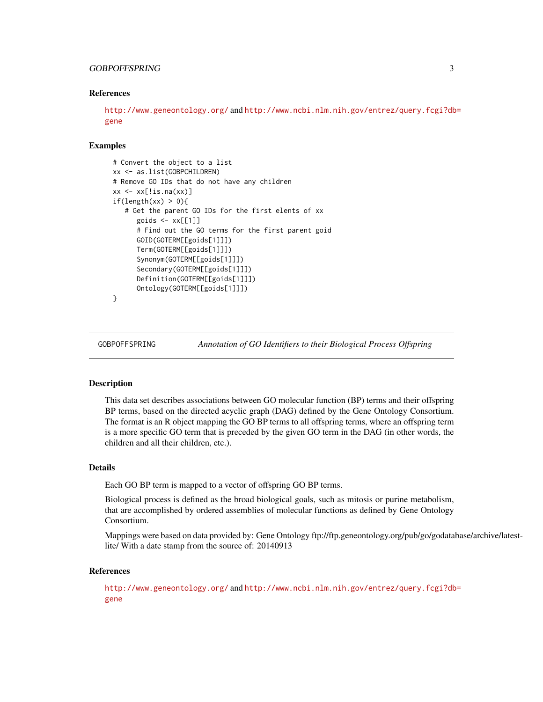# <span id="page-2-0"></span>GOBPOFFSPRING 3

## References

<http://www.geneontology.org/> and [http://www.ncbi.nlm.nih.gov/entrez/query.fcgi?db](http://www.ncbi.nlm.nih.gov/entrez/query.fcgi?db=gene)= [gene](http://www.ncbi.nlm.nih.gov/entrez/query.fcgi?db=gene)

# Examples

```
# Convert the object to a list
xx <- as.list(GOBPCHILDREN)
# Remove GO IDs that do not have any children
xx \leq x \leq : ix[!is.na(xx)]
if(length(xx) > 0)# Get the parent GO IDs for the first elents of xx
      goids \leq -x \times [1]]
      # Find out the GO terms for the first parent goid
      GOID(GOTERM[[goids[1]]])
      Term(GOTERM[[goids[1]]])
      Synonym(GOTERM[[goids[1]]])
      Secondary(GOTERM[[goids[1]]])
      Definition(GOTERM[[goids[1]]])
      Ontology(GOTERM[[goids[1]]])
}
```
GOBPOFFSPRING *Annotation of GO Identifiers to their Biological Process Offspring*

#### **Description**

This data set describes associations between GO molecular function (BP) terms and their offspring BP terms, based on the directed acyclic graph (DAG) defined by the Gene Ontology Consortium. The format is an R object mapping the GO BP terms to all offspring terms, where an offspring term is a more specific GO term that is preceded by the given GO term in the DAG (in other words, the children and all their children, etc.).

# Details

Each GO BP term is mapped to a vector of offspring GO BP terms.

Biological process is defined as the broad biological goals, such as mitosis or purine metabolism, that are accomplished by ordered assemblies of molecular functions as defined by Gene Ontology Consortium.

Mappings were based on data provided by: Gene Ontology ftp://ftp.geneontology.org/pub/go/godatabase/archive/latestlite/ With a date stamp from the source of: 20140913

#### References

<http://www.geneontology.org/> and [http://www.ncbi.nlm.nih.gov/entrez/query.fcgi?db](http://www.ncbi.nlm.nih.gov/entrez/query.fcgi?db=gene)= [gene](http://www.ncbi.nlm.nih.gov/entrez/query.fcgi?db=gene)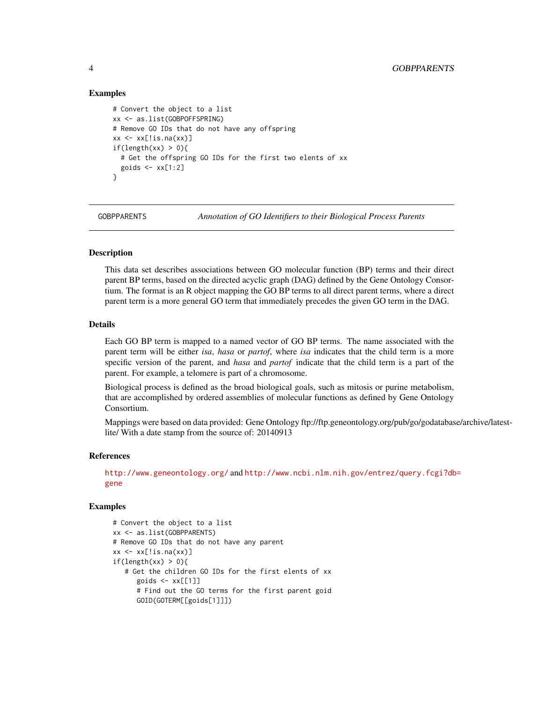# Examples

```
# Convert the object to a list
xx <- as.list(GOBPOFFSPRING)
# Remove GO IDs that do not have any offspring
xx \leq x \leq : ix[!is.na(xx)]
if(length(xx) > 0)# Get the offspring GO IDs for the first two elents of xx
  goids \leq -x \times [1:2]}
```
GOBPPARENTS *Annotation of GO Identifiers to their Biological Process Parents*

# **Description**

This data set describes associations between GO molecular function (BP) terms and their direct parent BP terms, based on the directed acyclic graph (DAG) defined by the Gene Ontology Consortium. The format is an R object mapping the GO BP terms to all direct parent terms, where a direct parent term is a more general GO term that immediately precedes the given GO term in the DAG.

#### Details

Each GO BP term is mapped to a named vector of GO BP terms. The name associated with the parent term will be either *isa*, *hasa* or *partof*, where *isa* indicates that the child term is a more specific version of the parent, and *hasa* and *partof* indicate that the child term is a part of the parent. For example, a telomere is part of a chromosome.

Biological process is defined as the broad biological goals, such as mitosis or purine metabolism, that are accomplished by ordered assemblies of molecular functions as defined by Gene Ontology Consortium.

Mappings were based on data provided: Gene Ontology ftp://ftp.geneontology.org/pub/go/godatabase/archive/latestlite/ With a date stamp from the source of: 20140913

#### References

<http://www.geneontology.org/> and [http://www.ncbi.nlm.nih.gov/entrez/query.fcgi?db](http://www.ncbi.nlm.nih.gov/entrez/query.fcgi?db=gene)= [gene](http://www.ncbi.nlm.nih.gov/entrez/query.fcgi?db=gene)

```
# Convert the object to a list
xx <- as.list(GOBPPARENTS)
# Remove GO IDs that do not have any parent
xx \leftarrow xx[!is.na(xx)]if(length(xx) > 0)# Get the children GO IDs for the first elents of xx
      goids \leq -x \times \lbrack 1 \rbrack]
      # Find out the GO terms for the first parent goid
      GOID(GOTERM[[goids[1]]])
```
<span id="page-3-0"></span>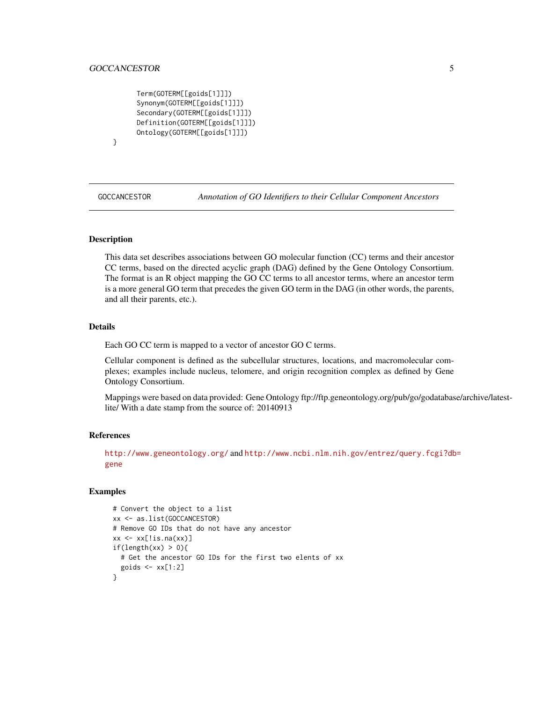# <span id="page-4-0"></span>GOCCANCESTOR 5

```
Term(GOTERM[[goids[1]]])
Synonym(GOTERM[[goids[1]]])
Secondary(GOTERM[[goids[1]]])
Definition(GOTERM[[goids[1]]])
Ontology(GOTERM[[goids[1]]])
```
# }

GOCCANCESTOR *Annotation of GO Identifiers to their Cellular Component Ancestors*

# **Description**

This data set describes associations between GO molecular function (CC) terms and their ancestor CC terms, based on the directed acyclic graph (DAG) defined by the Gene Ontology Consortium. The format is an R object mapping the GO CC terms to all ancestor terms, where an ancestor term is a more general GO term that precedes the given GO term in the DAG (in other words, the parents, and all their parents, etc.).

# Details

Each GO CC term is mapped to a vector of ancestor GO C terms.

Cellular component is defined as the subcellular structures, locations, and macromolecular complexes; examples include nucleus, telomere, and origin recognition complex as defined by Gene Ontology Consortium.

Mappings were based on data provided: Gene Ontology ftp://ftp.geneontology.org/pub/go/godatabase/archive/latestlite/ With a date stamp from the source of: 20140913

#### References

<http://www.geneontology.org/> and [http://www.ncbi.nlm.nih.gov/entrez/query.fcgi?db](http://www.ncbi.nlm.nih.gov/entrez/query.fcgi?db=gene)= [gene](http://www.ncbi.nlm.nih.gov/entrez/query.fcgi?db=gene)

```
# Convert the object to a list
xx <- as.list(GOCCANCESTOR)
# Remove GO IDs that do not have any ancestor
xx \leftarrow xx[!is.na(xx)]if(length(xx) > 0)# Get the ancestor GO IDs for the first two elents of xx
  goids \leq -x \times [1:2]}
```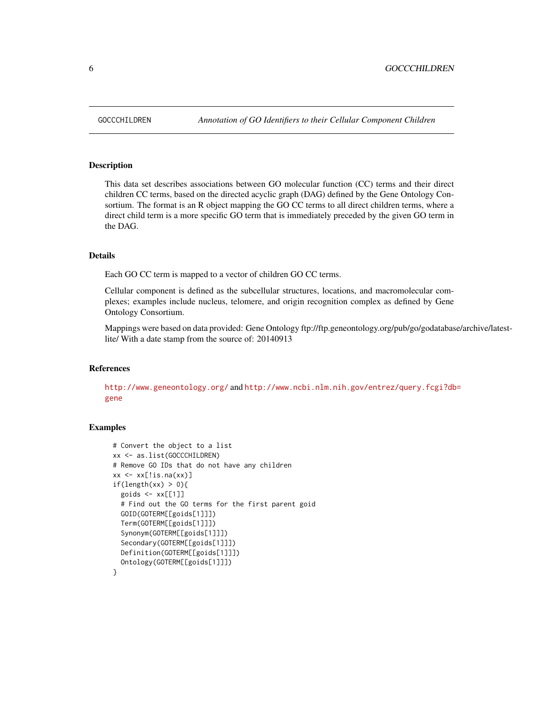This data set describes associations between GO molecular function (CC) terms and their direct children CC terms, based on the directed acyclic graph (DAG) defined by the Gene Ontology Consortium. The format is an R object mapping the GO CC terms to all direct children terms, where a direct child term is a more specific GO term that is immediately preceded by the given GO term in the DAG.

#### Details

Each GO CC term is mapped to a vector of children GO CC terms.

Cellular component is defined as the subcellular structures, locations, and macromolecular complexes; examples include nucleus, telomere, and origin recognition complex as defined by Gene Ontology Consortium.

Mappings were based on data provided: Gene Ontology ftp://ftp.geneontology.org/pub/go/godatabase/archive/latestlite/ With a date stamp from the source of: 20140913

#### References

<http://www.geneontology.org/> and [http://www.ncbi.nlm.nih.gov/entrez/query.fcgi?db](http://www.ncbi.nlm.nih.gov/entrez/query.fcgi?db=gene)= [gene](http://www.ncbi.nlm.nih.gov/entrez/query.fcgi?db=gene)

```
# Convert the object to a list
xx <- as.list(GOCCCHILDREN)
# Remove GO IDs that do not have any children
xx \leftarrow xx[!is.na(xx)]if(length(xx) > 0){
  goids <- xx[[1]]
  # Find out the GO terms for the first parent goid
  GOID(GOTERM[[goids[1]]])
  Term(GOTERM[[goids[1]]])
  Synonym(GOTERM[[goids[1]]])
  Secondary(GOTERM[[goids[1]]])
  Definition(GOTERM[[goids[1]]])
  Ontology(GOTERM[[goids[1]]])
}
```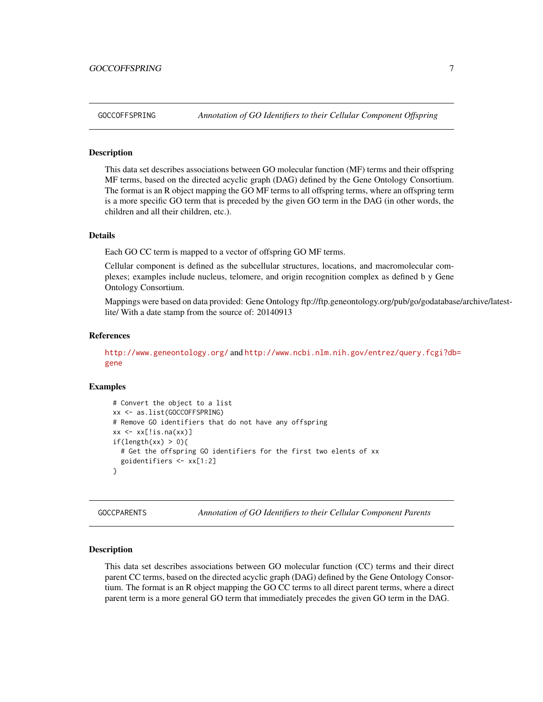<span id="page-6-0"></span>This data set describes associations between GO molecular function (MF) terms and their offspring MF terms, based on the directed acyclic graph (DAG) defined by the Gene Ontology Consortium. The format is an R object mapping the GO MF terms to all offspring terms, where an offspring term is a more specific GO term that is preceded by the given GO term in the DAG (in other words, the children and all their children, etc.).

# Details

Each GO CC term is mapped to a vector of offspring GO MF terms.

Cellular component is defined as the subcellular structures, locations, and macromolecular complexes; examples include nucleus, telomere, and origin recognition complex as defined b y Gene Ontology Consortium.

Mappings were based on data provided: Gene Ontology ftp://ftp.geneontology.org/pub/go/godatabase/archive/latestlite/ With a date stamp from the source of: 20140913

## References

<http://www.geneontology.org/> and [http://www.ncbi.nlm.nih.gov/entrez/query.fcgi?db](http://www.ncbi.nlm.nih.gov/entrez/query.fcgi?db=gene)= [gene](http://www.ncbi.nlm.nih.gov/entrez/query.fcgi?db=gene)

## Examples

```
# Convert the object to a list
xx <- as.list(GOCCOFFSPRING)
# Remove GO identifiers that do not have any offspring
xx \leq x[\text{lis}.\text{na}(xx)]if(length(xx) > 0){
  # Get the offspring GO identifiers for the first two elents of xx
  goidentifiers <- xx[1:2]
}
```
GOCCPARENTS *Annotation of GO Identifiers to their Cellular Component Parents*

## **Description**

This data set describes associations between GO molecular function (CC) terms and their direct parent CC terms, based on the directed acyclic graph (DAG) defined by the Gene Ontology Consortium. The format is an R object mapping the GO CC terms to all direct parent terms, where a direct parent term is a more general GO term that immediately precedes the given GO term in the DAG.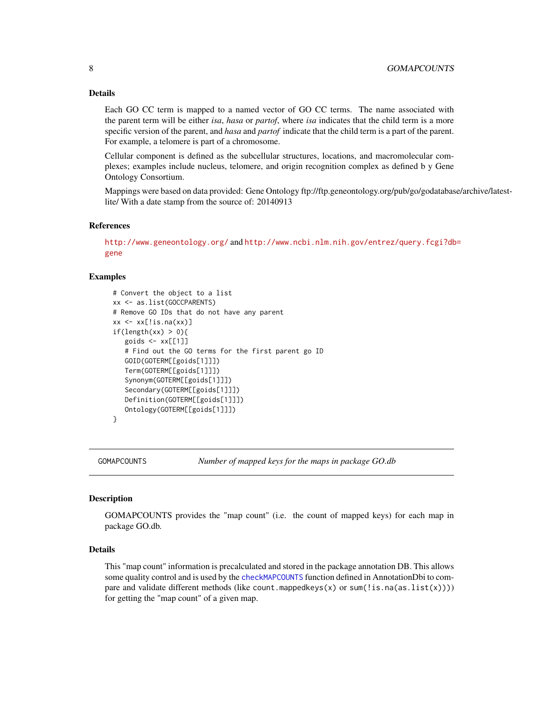# <span id="page-7-0"></span>8 8 GOMAPCOUNTS

# Details

Each GO CC term is mapped to a named vector of GO CC terms. The name associated with the parent term will be either *isa*, *hasa* or *partof*, where *isa* indicates that the child term is a more specific version of the parent, and *hasa* and *partof* indicate that the child term is a part of the parent. For example, a telomere is part of a chromosome.

Cellular component is defined as the subcellular structures, locations, and macromolecular complexes; examples include nucleus, telomere, and origin recognition complex as defined b y Gene Ontology Consortium.

Mappings were based on data provided: Gene Ontology ftp://ftp.geneontology.org/pub/go/godatabase/archive/latestlite/ With a date stamp from the source of: 20140913

# References

<http://www.geneontology.org/> and [http://www.ncbi.nlm.nih.gov/entrez/query.fcgi?db](http://www.ncbi.nlm.nih.gov/entrez/query.fcgi?db=gene)= [gene](http://www.ncbi.nlm.nih.gov/entrez/query.fcgi?db=gene)

# Examples

```
# Convert the object to a list
xx <- as.list(GOCCPARENTS)
# Remove GO IDs that do not have any parent
xx \leftarrow xx[!is.na(xx)]if(length(xx) > 0){
   goids \leq -x \times \lbrack 2]# Find out the GO terms for the first parent go ID
   GOID(GOTERM[[goids[1]]])
   Term(GOTERM[[goids[1]]])
   Synonym(GOTERM[[goids[1]]])
   Secondary(GOTERM[[goids[1]]])
   Definition(GOTERM[[goids[1]]])
   Ontology(GOTERM[[goids[1]]])
}
```
GOMAPCOUNTS *Number of mapped keys for the maps in package GO.db*

#### Description

GOMAPCOUNTS provides the "map count" (i.e. the count of mapped keys) for each map in package GO.db.

#### Details

This "map count" information is precalculated and stored in the package annotation DB. This allows some quality control and is used by the [checkMAPCOUNTS](#page-0-0) function defined in AnnotationDbi to compare and validate different methods (like count.mappedkeys(x) or sum(!is.na(as.list(x)))) for getting the "map count" of a given map.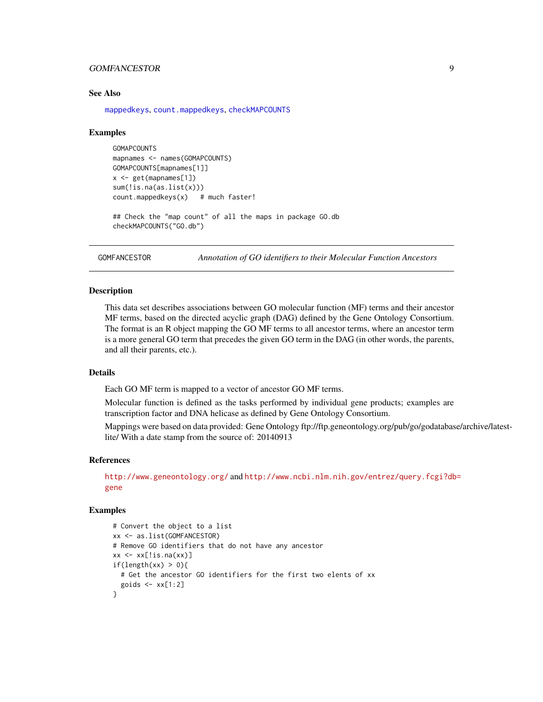# <span id="page-8-0"></span>GOMFANCESTOR 9

## See Also

[mappedkeys](#page-0-0), [count.mappedkeys](#page-0-0), [checkMAPCOUNTS](#page-0-0)

## Examples

```
GOMAPCOUNTS
mapnames <- names(GOMAPCOUNTS)
GOMAPCOUNTS[mapnames[1]]
x \leq - get(mapnames[1])
sum(!is.na(as.list(x)))
count.mappedkeys(x) # much faster!
```

```
## Check the "map count" of all the maps in package GO.db
checkMAPCOUNTS("GO.db")
```
GOMFANCESTOR *Annotation of GO identifiers to their Molecular Function Ancestors*

# Description

This data set describes associations between GO molecular function (MF) terms and their ancestor MF terms, based on the directed acyclic graph (DAG) defined by the Gene Ontology Consortium. The format is an R object mapping the GO MF terms to all ancestor terms, where an ancestor term is a more general GO term that precedes the given GO term in the DAG (in other words, the parents, and all their parents, etc.).

# **Details**

Each GO MF term is mapped to a vector of ancestor GO MF terms.

Molecular function is defined as the tasks performed by individual gene products; examples are transcription factor and DNA helicase as defined by Gene Ontology Consortium.

Mappings were based on data provided: Gene Ontology ftp://ftp.geneontology.org/pub/go/godatabase/archive/latestlite/ With a date stamp from the source of: 20140913

#### References

<http://www.geneontology.org/> and [http://www.ncbi.nlm.nih.gov/entrez/query.fcgi?db](http://www.ncbi.nlm.nih.gov/entrez/query.fcgi?db=gene)= [gene](http://www.ncbi.nlm.nih.gov/entrez/query.fcgi?db=gene)

```
# Convert the object to a list
xx <- as.list(GOMFANCESTOR)
# Remove GO identifiers that do not have any ancestor
xx \leftarrow xx[!is.na(xx)]if(length(xx) > 0){
  # Get the ancestor GO identifiers for the first two elents of xx
  goids \leq -x \times [1:2]}
```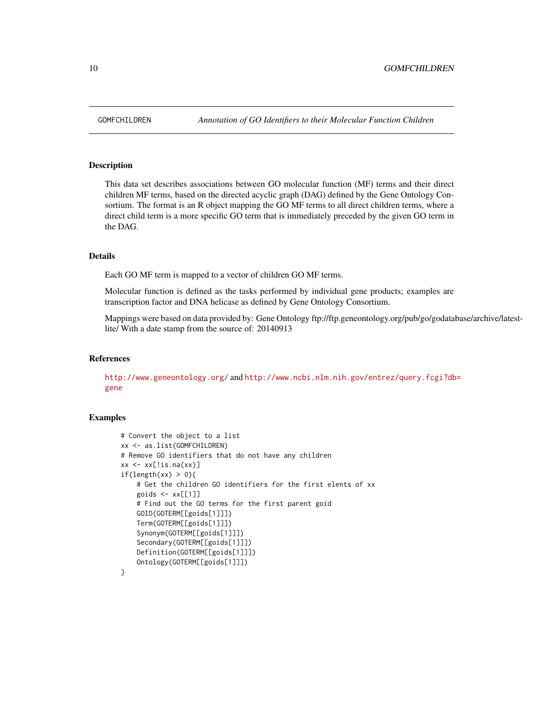<span id="page-9-0"></span>

This data set describes associations between GO molecular function (MF) terms and their direct children MF terms, based on the directed acyclic graph (DAG) defined by the Gene Ontology Consortium. The format is an R object mapping the GO MF terms to all direct children terms, where a direct child term is a more specific GO term that is immediately preceded by the given GO term in the DAG.

#### Details

Each GO MF term is mapped to a vector of children GO MF terms.

Molecular function is defined as the tasks performed by individual gene products; examples are transcription factor and DNA helicase as defined by Gene Ontology Consortium.

Mappings were based on data provided by: Gene Ontology ftp://ftp.geneontology.org/pub/go/godatabase/archive/latestlite/ With a date stamp from the source of: 20140913

# References

<http://www.geneontology.org/> and [http://www.ncbi.nlm.nih.gov/entrez/query.fcgi?db](http://www.ncbi.nlm.nih.gov/entrez/query.fcgi?db=gene)= [gene](http://www.ncbi.nlm.nih.gov/entrez/query.fcgi?db=gene)

```
# Convert the object to a list
xx <- as.list(GOMFCHILDREN)
# Remove GO identifiers that do not have any children
xx \leq x[\text{is}.\text{na}(xx)]if(length(xx) > 0)# Get the children GO identifiers for the first elents of xx
    goids \leq -x \times \lbrack 1 \rbrack]
    # Find out the GO terms for the first parent goid
    GOID(GOTERM[[goids[1]]])
    Term(GOTERM[[goids[1]]])
    Synonym(GOTERM[[goids[1]]])
    Secondary(GOTERM[[goids[1]]])
    Definition(GOTERM[[goids[1]]])
    Ontology(GOTERM[[goids[1]]])
}
```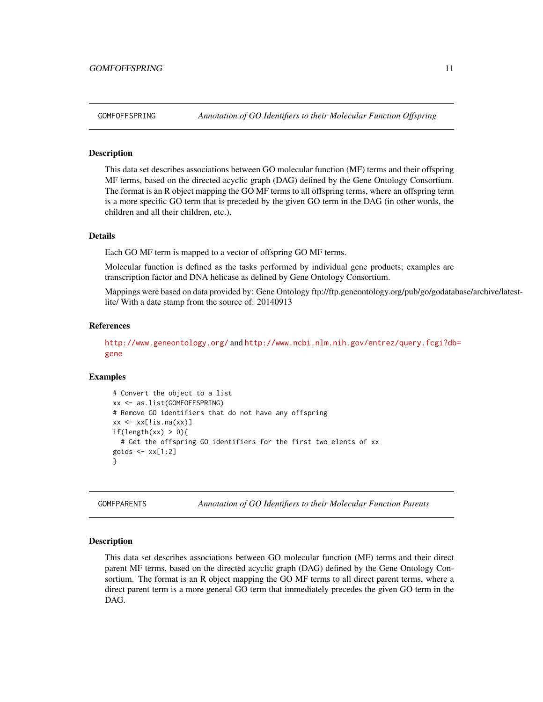<span id="page-10-0"></span>This data set describes associations between GO molecular function (MF) terms and their offspring MF terms, based on the directed acyclic graph (DAG) defined by the Gene Ontology Consortium. The format is an R object mapping the GO MF terms to all offspring terms, where an offspring term is a more specific GO term that is preceded by the given GO term in the DAG (in other words, the children and all their children, etc.).

#### Details

Each GO MF term is mapped to a vector of offspring GO MF terms.

Molecular function is defined as the tasks performed by individual gene products; examples are transcription factor and DNA helicase as defined by Gene Ontology Consortium.

Mappings were based on data provided by: Gene Ontology ftp://ftp.geneontology.org/pub/go/godatabase/archive/latestlite/ With a date stamp from the source of: 20140913

# References

<http://www.geneontology.org/> and [http://www.ncbi.nlm.nih.gov/entrez/query.fcgi?db](http://www.ncbi.nlm.nih.gov/entrez/query.fcgi?db=gene)= [gene](http://www.ncbi.nlm.nih.gov/entrez/query.fcgi?db=gene)

# Examples

```
# Convert the object to a list
xx <- as.list(GOMFOFFSPRING)
# Remove GO identifiers that do not have any offspring
xx \leftarrow xx[!is.na(xx)]if(length(xx) > 0){
  # Get the offspring GO identifiers for the first two elents of xx
goids \leq -x \times [1:2]}
```
GOMFPARENTS *Annotation of GO Identifiers to their Molecular Function Parents*

#### Description

This data set describes associations between GO molecular function (MF) terms and their direct parent MF terms, based on the directed acyclic graph (DAG) defined by the Gene Ontology Consortium. The format is an R object mapping the GO MF terms to all direct parent terms, where a direct parent term is a more general GO term that immediately precedes the given GO term in the DAG.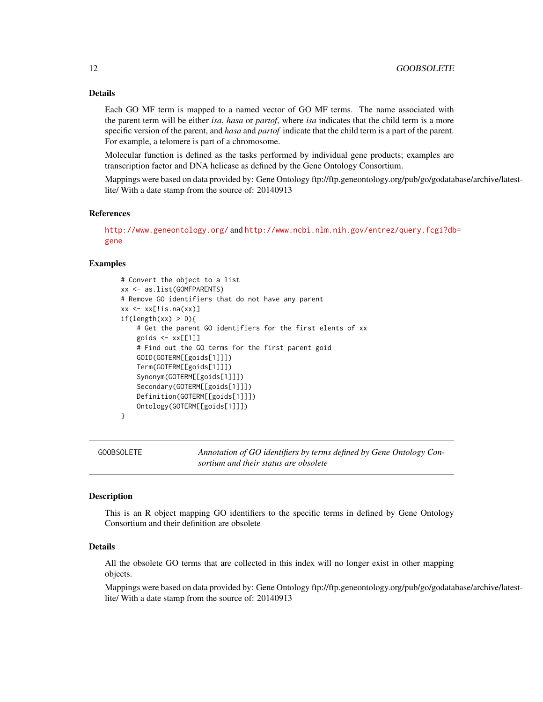# <span id="page-11-0"></span>Details

Each GO MF term is mapped to a named vector of GO MF terms. The name associated with the parent term will be either *isa*, *hasa* or *partof*, where *isa* indicates that the child term is a more specific version of the parent, and *hasa* and *partof* indicate that the child term is a part of the parent. For example, a telomere is part of a chromosome.

Molecular function is defined as the tasks performed by individual gene products; examples are transcription factor and DNA helicase as defined by the Gene Ontology Consortium.

Mappings were based on data provided by: Gene Ontology ftp://ftp.geneontology.org/pub/go/godatabase/archive/latestlite/ With a date stamp from the source of: 20140913

#### References

```
http://www.geneontology.org/ and http://www.ncbi.nlm.nih.gov/entrez/query.fcgi?db=
gene
```
#### Examples

```
# Convert the object to a list
xx <- as.list(GOMFPARENTS)
# Remove GO identifiers that do not have any parent
xx \leftarrow xx[!is.na(xx)]if(length(xx) > 0)# Get the parent GO identifiers for the first elents of xx
    goids <- xx[[1]]
    # Find out the GO terms for the first parent goid
    GOID(GOTERM[[goids[1]]])
    Term(GOTERM[[goids[1]]])
    Synonym(GOTERM[[goids[1]]])
    Secondary(GOTERM[[goids[1]]])
    Definition(GOTERM[[goids[1]]])
    Ontology(GOTERM[[goids[1]]])
}
```
GOOBSOLETE *Annotation of GO identifiers by terms defined by Gene Ontology Consortium and their status are obsolete*

# **Description**

This is an R object mapping GO identifiers to the specific terms in defined by Gene Ontology Consortium and their definition are obsolete

#### Details

All the obsolete GO terms that are collected in this index will no longer exist in other mapping objects.

Mappings were based on data provided by: Gene Ontology ftp://ftp.geneontology.org/pub/go/godatabase/archive/latestlite/ With a date stamp from the source of: 20140913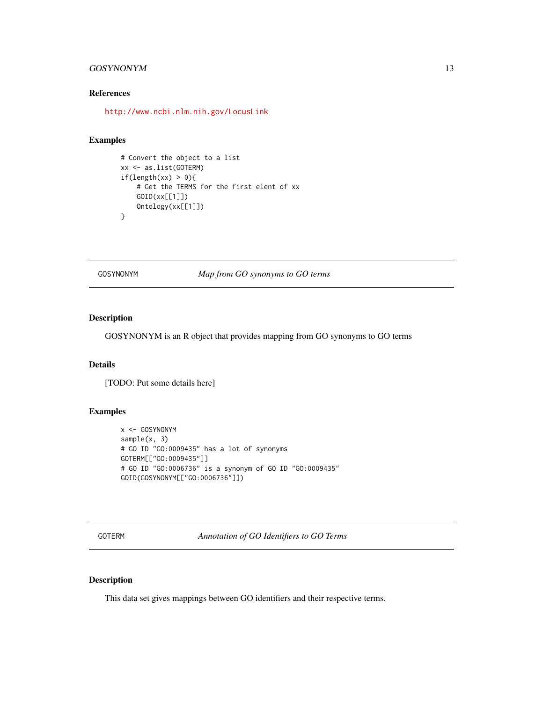# <span id="page-12-0"></span>GOSYNONYM 13

# References

<http://www.ncbi.nlm.nih.gov/LocusLink>

#### Examples

```
# Convert the object to a list
xx <- as.list(GOTERM)
if(length(xx) > 0){
   # Get the TERMS for the first elent of xx
   GOID(xx[[1]])
   Ontology(xx[[1]])
}
```
GOSYNONYM *Map from GO synonyms to GO terms*

# Description

GOSYNONYM is an R object that provides mapping from GO synonyms to GO terms

# Details

[TODO: Put some details here]

# Examples

```
x <- GOSYNONYM
sample(x, 3)
# GO ID "GO:0009435" has a lot of synonyms
GOTERM[["GO:0009435"]]
# GO ID "GO:0006736" is a synonym of GO ID "GO:0009435"
GOID(GOSYNONYM[["GO:0006736"]])
```
GOTERM *Annotation of GO Identifiers to GO Terms*

# Description

This data set gives mappings between GO identifiers and their respective terms.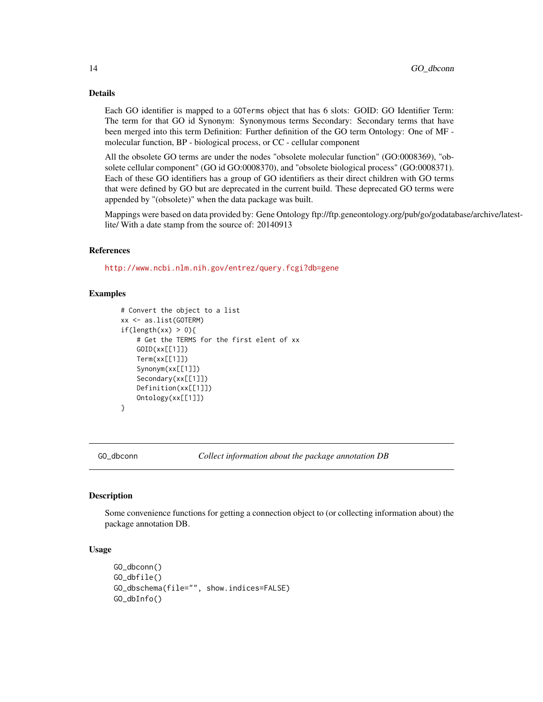# <span id="page-13-0"></span>Details

Each GO identifier is mapped to a GOTerms object that has 6 slots: GOID: GO Identifier Term: The term for that GO id Synonym: Synonymous terms Secondary: Secondary terms that have been merged into this term Definition: Further definition of the GO term Ontology: One of MF molecular function, BP - biological process, or CC - cellular component

All the obsolete GO terms are under the nodes "obsolete molecular function" (GO:0008369), "obsolete cellular component" (GO id GO:0008370), and "obsolete biological process" (GO:0008371). Each of these GO identifiers has a group of GO identifiers as their direct children with GO terms that were defined by GO but are deprecated in the current build. These deprecated GO terms were appended by "(obsolete)" when the data package was built.

Mappings were based on data provided by: Gene Ontology ftp://ftp.geneontology.org/pub/go/godatabase/archive/latestlite/ With a date stamp from the source of: 20140913

#### References

<http://www.ncbi.nlm.nih.gov/entrez/query.fcgi?db=gene>

# Examples

```
# Convert the object to a list
xx <- as.list(GOTERM)
if(length(xx) > 0)# Get the TERMS for the first elent of xx
   GOID(xx[[1]])
   Term(xx[[1]])
   Synonym(xx[[1]])
   Secondary(xx[[1]])
   Definition(xx[[1]])
   Ontology(xx[[1]])
}
```
GO\_dbconn *Collect information about the package annotation DB*

#### **Description**

Some convenience functions for getting a connection object to (or collecting information about) the package annotation DB.

## Usage

```
GO_dbconn()
GO_dbfile()
GO_dbschema(file="", show.indices=FALSE)
GO_dbInfo()
```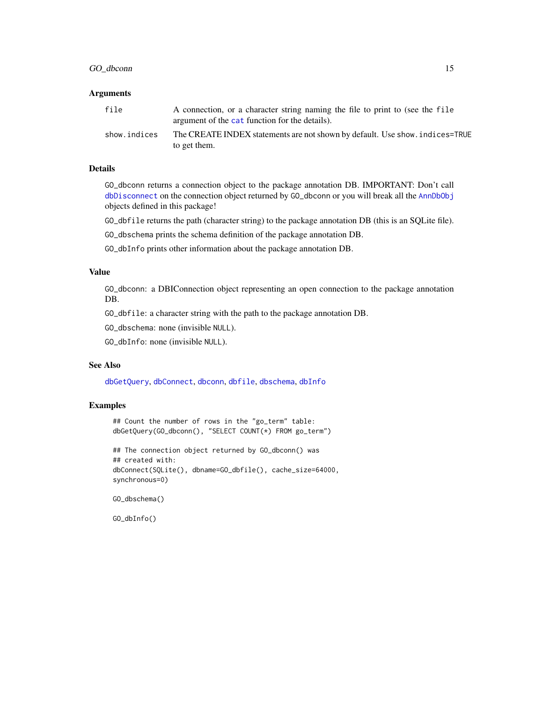# GO\_dbconn 15

### **Arguments**

| file         | A connection, or a character string naming the file to print to (see the file<br>argument of the cat function for the details). |
|--------------|---------------------------------------------------------------------------------------------------------------------------------|
| show.indices | The CREATE INDEX statements are not shown by default. Use show, indices=TRUE<br>to get them.                                    |

#### Details

GO\_dbconn returns a connection object to the package annotation DB. IMPORTANT: Don't call [dbDisconnect](#page-0-0) on the connection object returned by GO\_dbconn or you will break all the [AnnDbObj](#page-0-0) objects defined in this package!

GO\_dbfile returns the path (character string) to the package annotation DB (this is an SQLite file).

GO\_dbschema prints the schema definition of the package annotation DB.

GO\_dbInfo prints other information about the package annotation DB.

# Value

GO\_dbconn: a DBIConnection object representing an open connection to the package annotation DB.

GO\_dbfile: a character string with the path to the package annotation DB.

GO\_dbschema: none (invisible NULL).

GO\_dbInfo: none (invisible NULL).

# See Also

[dbGetQuery](#page-0-0), [dbConnect](#page-0-0), [dbconn](#page-0-0), [dbfile](#page-0-0), [dbschema](#page-0-0), [dbInfo](#page-0-0)

# Examples

```
## Count the number of rows in the "go_term" table:
dbGetQuery(GO_dbconn(), "SELECT COUNT(*) FROM go_term")
```

```
## The connection object returned by GO_dbconn() was
## created with:
dbConnect(SQLite(), dbname=GO_dbfile(), cache_size=64000,
synchronous=0)
```
GO\_dbschema()

GO\_dbInfo()